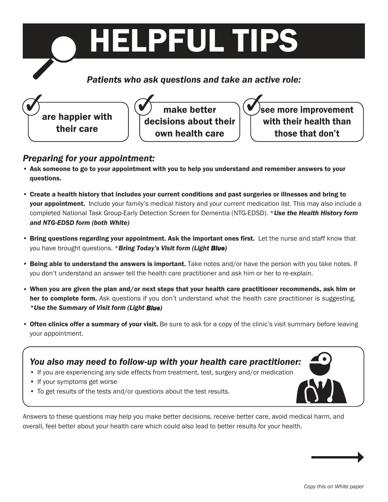

#### *Preparing for your appointment:*

- Ask someone to go to your appointment with you to help you understand and remember answers to your questions.
- Create a health history that includes your current conditions and past surgeries or illnesses and bring to **your appointment.** Include your family's medical history and your current medication list. This may also include a completed National Task Group-Early Detection Screen for Dementia (NTG-EDSD). \**Use the Health History form and NTG-EDSD form (both White)*
- Bring questions regarding your appointment. Ask the important ones first. Let the nurse and staff know that you have brought questions. \**Bring Today's Visit form (Light Blue)*
- Being able to understand the answers is important. Take notes and/or have the person with you take notes. If you don't understand an answer tell the health care practitioner and ask him or her to re-explain.
- When you are given the plan and/or next steps that your health care practitioner recommends, ask him or her to complete form. Ask questions if you don't understand what the health care practitioner is suggesting. *\*Use the Summary of Visit form (Light Blue)*
- Often clinics offer a summary of your visit. Be sure to ask for a copy of the clinic's visit summary before leaving your appointment.

#### *You also may need to follow-up with your health care practitioner:*

- If you are experiencing any side effects from treatment, test, surgery and/or medication
- If your symptoms get worse
- To get results of the tests and/or questions about the test results.

Answers to these questions may help you make better decisions, receive better care, avoid medical harm, and overall, feel better about your health care which could also lead to better results for your health.